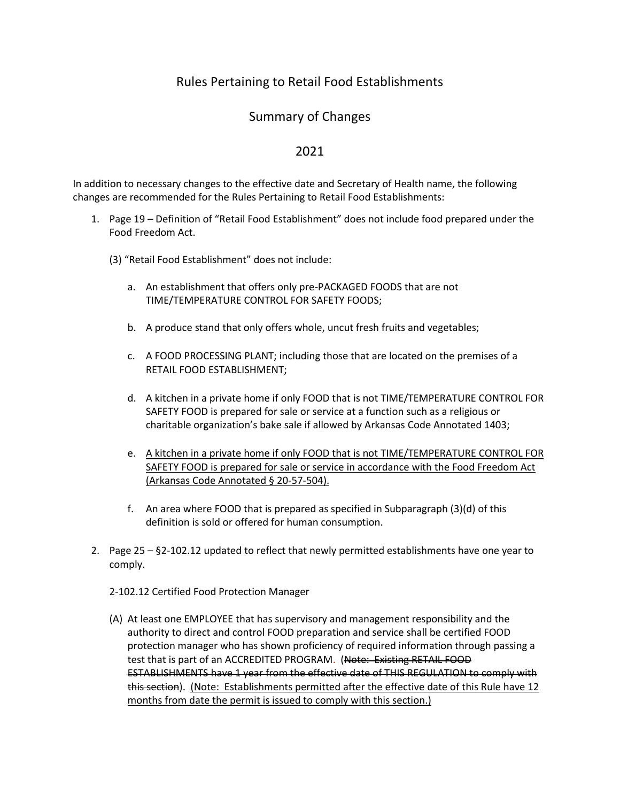## Rules Pertaining to Retail Food Establishments

## Summary of Changes

## 2021

In addition to necessary changes to the effective date and Secretary of Health name, the following changes are recommended for the Rules Pertaining to Retail Food Establishments:

- 1. Page 19 Definition of "Retail Food Establishment" does not include food prepared under the Food Freedom Act.
	- (3) "Retail Food Establishment" does not include:
		- a. An establishment that offers only pre-PACKAGED FOODS that are not TIME/TEMPERATURE CONTROL FOR SAFETY FOODS;
		- b. A produce stand that only offers whole, uncut fresh fruits and vegetables;
		- c. A FOOD PROCESSING PLANT; including those that are located on the premises of a RETAIL FOOD ESTABLISHMENT;
		- d. A kitchen in a private home if only FOOD that is not TIME/TEMPERATURE CONTROL FOR SAFETY FOOD is prepared for sale or service at a function such as a religious or charitable organization's bake sale if allowed by Arkansas Code Annotated 1403;
		- e. A kitchen in a private home if only FOOD that is not TIME/TEMPERATURE CONTROL FOR SAFETY FOOD is prepared for sale or service in accordance with the Food Freedom Act (Arkansas Code Annotated § 20-57-504).
		- f. An area where FOOD that is prepared as specified in Subparagraph (3)(d) of this definition is sold or offered for human consumption.
- 2. Page 25 §2-102.12 updated to reflect that newly permitted establishments have one year to comply.
	- 2-102.12 Certified Food Protection Manager
	- (A) At least one EMPLOYEE that has supervisory and management responsibility and the authority to direct and control FOOD preparation and service shall be certified FOOD protection manager who has shown proficiency of required information through passing a test that is part of an ACCREDITED PROGRAM. (Note: Existing RETAIL FOOD ESTABLISHMENTS have 1 year from the effective date of THIS REGULATION to comply with this section). (Note: Establishments permitted after the effective date of this Rule have 12 months from date the permit is issued to comply with this section.)